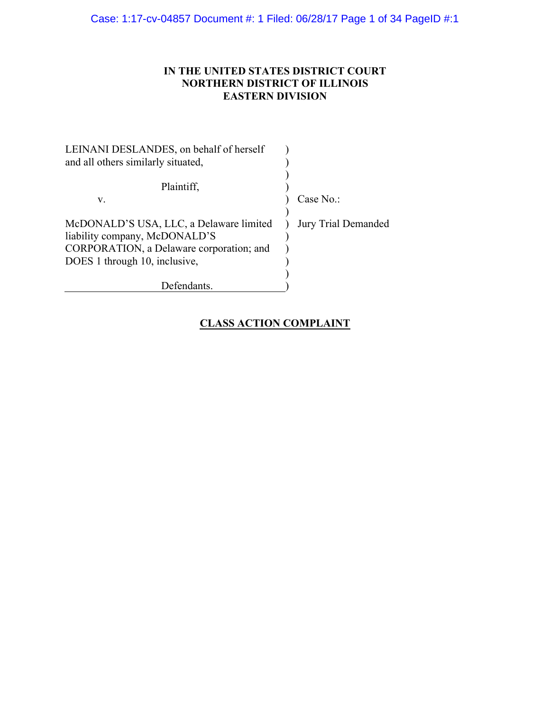Case: 1:17-cv-04857 Document #: 1 Filed: 06/28/17 Page 1 of 34 PageID #:1

## **IN THE UNITED STATES DISTRICT COURT NORTHERN DISTRICT OF ILLINOIS EASTERN DIVISION**

| Case $No.$ :        |
|---------------------|
|                     |
| Jury Trial Demanded |
|                     |
|                     |
|                     |
|                     |
|                     |
|                     |

## **CLASS ACTION COMPLAINT**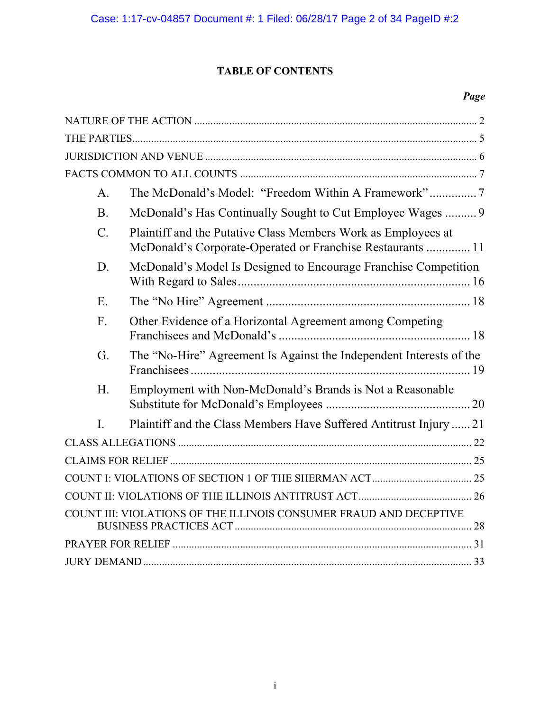## **TABLE OF CONTENTS**

## *Page*

| $\mathsf{A}$ .  |                                                                                                                             |  |  |  |  |  |
|-----------------|-----------------------------------------------------------------------------------------------------------------------------|--|--|--|--|--|
| B.              | McDonald's Has Continually Sought to Cut Employee Wages  9                                                                  |  |  |  |  |  |
| $\mathcal{C}$ . | Plaintiff and the Putative Class Members Work as Employees at<br>McDonald's Corporate-Operated or Franchise Restaurants  11 |  |  |  |  |  |
| D.              | McDonald's Model Is Designed to Encourage Franchise Competition                                                             |  |  |  |  |  |
| E.              |                                                                                                                             |  |  |  |  |  |
| $F_{\cdot}$     | Other Evidence of a Horizontal Agreement among Competing                                                                    |  |  |  |  |  |
| G.              | The "No-Hire" Agreement Is Against the Independent Interests of the                                                         |  |  |  |  |  |
| H.              | Employment with Non-McDonald's Brands is Not a Reasonable                                                                   |  |  |  |  |  |
| $\mathbf{L}$    | Plaintiff and the Class Members Have Suffered Antitrust Injury  21                                                          |  |  |  |  |  |
|                 |                                                                                                                             |  |  |  |  |  |
|                 |                                                                                                                             |  |  |  |  |  |
|                 |                                                                                                                             |  |  |  |  |  |
|                 |                                                                                                                             |  |  |  |  |  |
|                 | COUNT III: VIOLATIONS OF THE ILLINOIS CONSUMER FRAUD AND DECEPTIVE                                                          |  |  |  |  |  |
|                 |                                                                                                                             |  |  |  |  |  |
|                 |                                                                                                                             |  |  |  |  |  |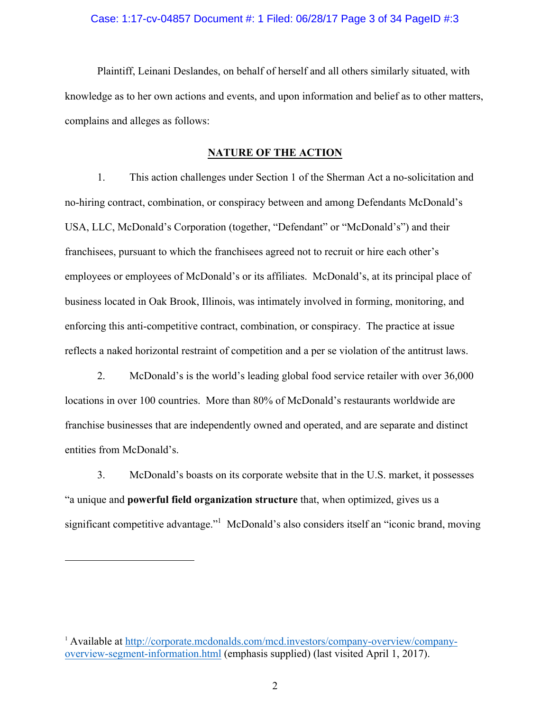## Case: 1:17-cv-04857 Document #: 1 Filed: 06/28/17 Page 3 of 34 PageID #:3

Plaintiff, Leinani Deslandes, on behalf of herself and all others similarly situated, with knowledge as to her own actions and events, and upon information and belief as to other matters, complains and alleges as follows:

## **NATURE OF THE ACTION**

1. This action challenges under Section 1 of the Sherman Act a no-solicitation and no-hiring contract, combination, or conspiracy between and among Defendants McDonald's USA, LLC, McDonald's Corporation (together, "Defendant" or "McDonald's") and their franchisees, pursuant to which the franchisees agreed not to recruit or hire each other's employees or employees of McDonald's or its affiliates. McDonald's, at its principal place of business located in Oak Brook, Illinois, was intimately involved in forming, monitoring, and enforcing this anti-competitive contract, combination, or conspiracy. The practice at issue reflects a naked horizontal restraint of competition and a per se violation of the antitrust laws.

2. McDonald's is the world's leading global food service retailer with over 36,000 locations in over 100 countries. More than 80% of McDonald's restaurants worldwide are franchise businesses that are independently owned and operated, and are separate and distinct entities from McDonald's.

3. McDonald's boasts on its corporate website that in the U.S. market, it possesses "a unique and **powerful field organization structure** that, when optimized, gives us a significant competitive advantage."<sup>1</sup> McDonald's also considers itself an "iconic brand, moving

<u>.</u>

<sup>1</sup> Available at http://corporate.mcdonalds.com/mcd.investors/company-overview/companyoverview-segment-information.html (emphasis supplied) (last visited April 1, 2017).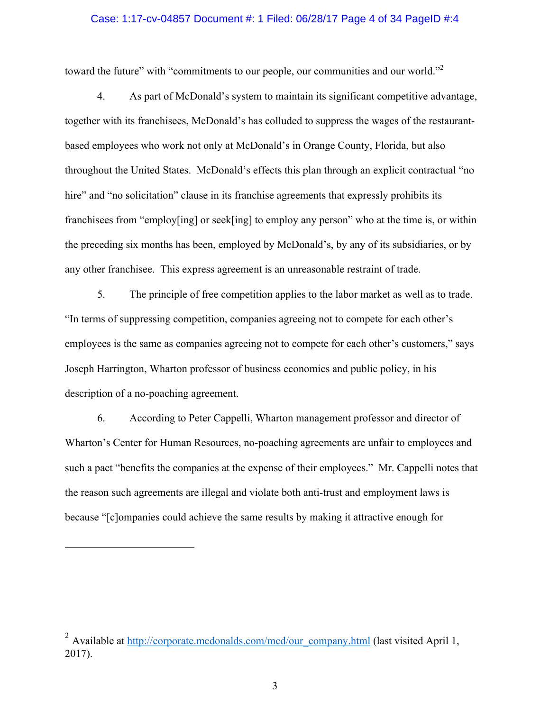## Case: 1:17-cv-04857 Document #: 1 Filed: 06/28/17 Page 4 of 34 PageID #:4

toward the future" with "commitments to our people, our communities and our world."<sup>2</sup>

4. As part of McDonald's system to maintain its significant competitive advantage, together with its franchisees, McDonald's has colluded to suppress the wages of the restaurantbased employees who work not only at McDonald's in Orange County, Florida, but also throughout the United States. McDonald's effects this plan through an explicit contractual "no hire" and "no solicitation" clause in its franchise agreements that expressly prohibits its franchisees from "employ[ing] or seek[ing] to employ any person" who at the time is, or within the preceding six months has been, employed by McDonald's, by any of its subsidiaries, or by any other franchisee. This express agreement is an unreasonable restraint of trade.

5. The principle of free competition applies to the labor market as well as to trade. "In terms of suppressing competition, companies agreeing not to compete for each other's employees is the same as companies agreeing not to compete for each other's customers," says Joseph Harrington, Wharton professor of business economics and public policy, in his description of a no-poaching agreement.

6. According to Peter Cappelli, Wharton management professor and director of Wharton's Center for Human Resources, no-poaching agreements are unfair to employees and such a pact "benefits the companies at the expense of their employees." Mr. Cappelli notes that the reason such agreements are illegal and violate both anti-trust and employment laws is because "[c]ompanies could achieve the same results by making it attractive enough for

<u>.</u>

<sup>&</sup>lt;sup>2</sup> Available at http://corporate.mcdonalds.com/mcd/our\_company.html (last visited April 1, 2017).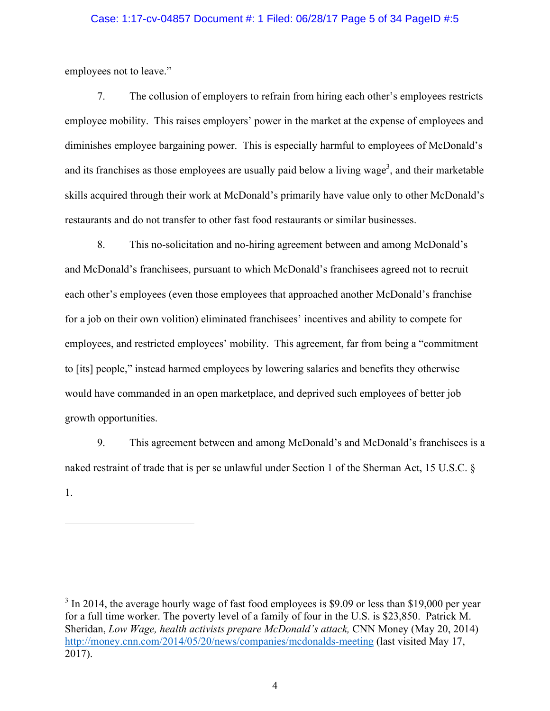## Case: 1:17-cv-04857 Document #: 1 Filed: 06/28/17 Page 5 of 34 PageID #:5

employees not to leave."

<u>.</u>

7. The collusion of employers to refrain from hiring each other's employees restricts employee mobility. This raises employers' power in the market at the expense of employees and diminishes employee bargaining power. This is especially harmful to employees of McDonald's and its franchises as those employees are usually paid below a living wage<sup>3</sup>, and their marketable skills acquired through their work at McDonald's primarily have value only to other McDonald's restaurants and do not transfer to other fast food restaurants or similar businesses.

8. This no-solicitation and no-hiring agreement between and among McDonald's and McDonald's franchisees, pursuant to which McDonald's franchisees agreed not to recruit each other's employees (even those employees that approached another McDonald's franchise for a job on their own volition) eliminated franchisees' incentives and ability to compete for employees, and restricted employees' mobility. This agreement, far from being a "commitment to [its] people," instead harmed employees by lowering salaries and benefits they otherwise would have commanded in an open marketplace, and deprived such employees of better job growth opportunities.

9. This agreement between and among McDonald's and McDonald's franchisees is a naked restraint of trade that is per se unlawful under Section 1 of the Sherman Act, 15 U.S.C. § 1.

 $3 \text{ In } 2014$ , the average hourly wage of fast food employees is \$9.09 or less than \$19,000 per year for a full time worker. The poverty level of a family of four in the U.S. is \$23,850. Patrick M. Sheridan, *Low Wage, health activists prepare McDonald's attack,* CNN Money (May 20, 2014) http://money.cnn.com/2014/05/20/news/companies/mcdonalds-meeting (last visited May 17, 2017).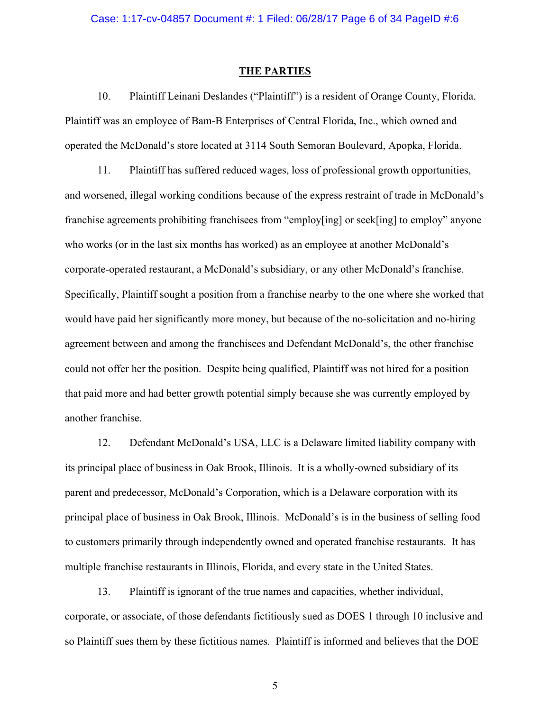#### **THE PARTIES**

10. Plaintiff Leinani Deslandes ("Plaintiff") is a resident of Orange County, Florida. Plaintiff was an employee of Bam-B Enterprises of Central Florida, Inc., which owned and operated the McDonald's store located at 3114 South Semoran Boulevard, Apopka, Florida.

11. Plaintiff has suffered reduced wages, loss of professional growth opportunities, and worsened, illegal working conditions because of the express restraint of trade in McDonald's franchise agreements prohibiting franchisees from "employ[ing] or seek[ing] to employ" anyone who works (or in the last six months has worked) as an employee at another McDonald's corporate-operated restaurant, a McDonald's subsidiary, or any other McDonald's franchise. Specifically, Plaintiff sought a position from a franchise nearby to the one where she worked that would have paid her significantly more money, but because of the no-solicitation and no-hiring agreement between and among the franchisees and Defendant McDonald's, the other franchise could not offer her the position. Despite being qualified, Plaintiff was not hired for a position that paid more and had better growth potential simply because she was currently employed by another franchise.

12. Defendant McDonald's USA, LLC is a Delaware limited liability company with its principal place of business in Oak Brook, Illinois. It is a wholly-owned subsidiary of its parent and predecessor, McDonald's Corporation, which is a Delaware corporation with its principal place of business in Oak Brook, Illinois. McDonald's is in the business of selling food to customers primarily through independently owned and operated franchise restaurants. It has multiple franchise restaurants in Illinois, Florida, and every state in the United States.

13. Plaintiff is ignorant of the true names and capacities, whether individual, corporate, or associate, of those defendants fictitiously sued as DOES 1 through 10 inclusive and so Plaintiff sues them by these fictitious names. Plaintiff is informed and believes that the DOE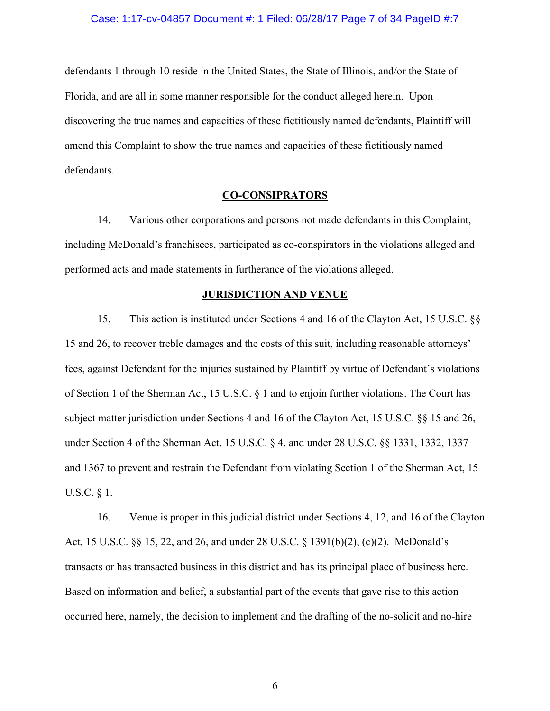## Case: 1:17-cv-04857 Document #: 1 Filed: 06/28/17 Page 7 of 34 PageID #:7

defendants 1 through 10 reside in the United States, the State of Illinois, and/or the State of Florida, and are all in some manner responsible for the conduct alleged herein. Upon discovering the true names and capacities of these fictitiously named defendants, Plaintiff will amend this Complaint to show the true names and capacities of these fictitiously named defendants.

## **CO-CONSIPRATORS**

14. Various other corporations and persons not made defendants in this Complaint, including McDonald's franchisees, participated as co-conspirators in the violations alleged and performed acts and made statements in furtherance of the violations alleged.

### **JURISDICTION AND VENUE**

15. This action is instituted under Sections 4 and 16 of the Clayton Act, 15 U.S.C. §§ 15 and 26, to recover treble damages and the costs of this suit, including reasonable attorneys' fees, against Defendant for the injuries sustained by Plaintiff by virtue of Defendant's violations of Section 1 of the Sherman Act, 15 U.S.C. § 1 and to enjoin further violations. The Court has subject matter jurisdiction under Sections 4 and 16 of the Clayton Act, 15 U.S.C. §§ 15 and 26, under Section 4 of the Sherman Act, 15 U.S.C. § 4, and under 28 U.S.C. §§ 1331, 1332, 1337 and 1367 to prevent and restrain the Defendant from violating Section 1 of the Sherman Act, 15 U.S.C. § 1.

16. Venue is proper in this judicial district under Sections 4, 12, and 16 of the Clayton Act, 15 U.S.C. §§ 15, 22, and 26, and under 28 U.S.C. § 1391(b)(2), (c)(2). McDonald's transacts or has transacted business in this district and has its principal place of business here. Based on information and belief, a substantial part of the events that gave rise to this action occurred here, namely, the decision to implement and the drafting of the no-solicit and no-hire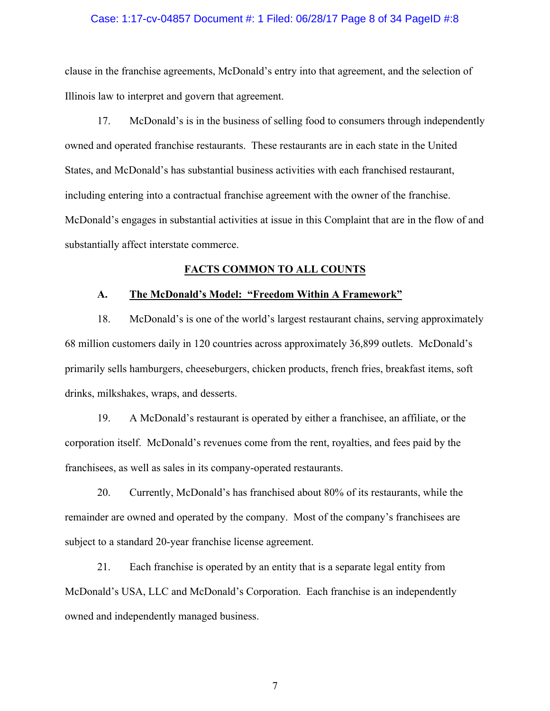## Case: 1:17-cv-04857 Document #: 1 Filed: 06/28/17 Page 8 of 34 PageID #:8

clause in the franchise agreements, McDonald's entry into that agreement, and the selection of Illinois law to interpret and govern that agreement.

17. McDonald's is in the business of selling food to consumers through independently owned and operated franchise restaurants. These restaurants are in each state in the United States, and McDonald's has substantial business activities with each franchised restaurant, including entering into a contractual franchise agreement with the owner of the franchise. McDonald's engages in substantial activities at issue in this Complaint that are in the flow of and substantially affect interstate commerce.

## **FACTS COMMON TO ALL COUNTS**

## **A. The McDonald's Model: "Freedom Within A Framework"**

18. McDonald's is one of the world's largest restaurant chains, serving approximately 68 million customers daily in 120 countries across approximately 36,899 outlets. McDonald's primarily sells hamburgers, cheeseburgers, chicken products, french fries, breakfast items, soft drinks, milkshakes, wraps, and desserts.

19. A McDonald's restaurant is operated by either a franchisee, an affiliate, or the corporation itself. McDonald's revenues come from the rent, royalties, and fees paid by the franchisees, as well as sales in its company-operated restaurants.

20. Currently, McDonald's has franchised about 80% of its restaurants, while the remainder are owned and operated by the company. Most of the company's franchisees are subject to a standard 20-year franchise license agreement.

21. Each franchise is operated by an entity that is a separate legal entity from McDonald's USA, LLC and McDonald's Corporation. Each franchise is an independently owned and independently managed business.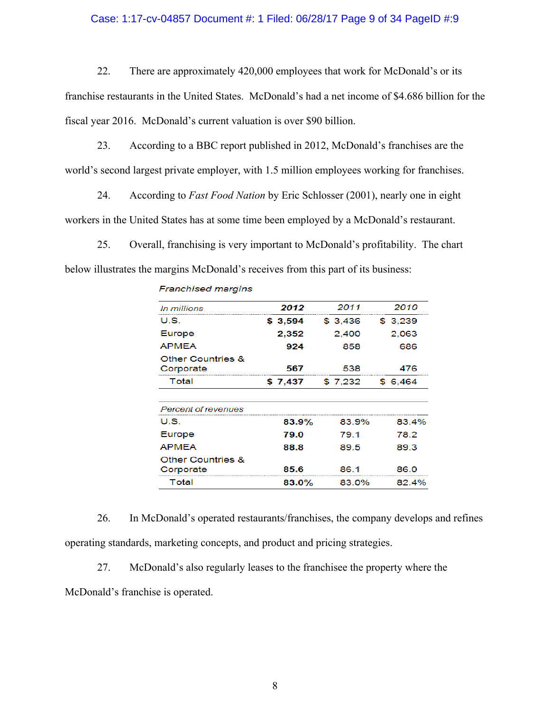## Case: 1:17-cv-04857 Document #: 1 Filed: 06/28/17 Page 9 of 34 PageID #:9

22. There are approximately 420,000 employees that work for McDonald's or its

franchise restaurants in the United States. McDonald's had a net income of \$4.686 billion for the fiscal year 2016. McDonald's current valuation is over \$90 billion.

23. According to a BBC report published in 2012, McDonald's franchises are the world's second largest private employer, with 1.5 million employees working for franchises.

24. According to *Fast Food Nation* by Eric Schlosser (2001), nearly one in eight workers in the United States has at some time been employed by a McDonald's restaurant.

25. Overall, franchising is very important to McDonald's profitability. The chart below illustrates the margins McDonald's receives from this part of its business:

| In millions                               | 2012     | 2011    | 2010     |
|-------------------------------------------|----------|---------|----------|
| US.                                       | \$3,594  | \$3.436 | \$ 3.239 |
| Europe                                    | 2,352    | 2.400   | 2.063    |
| <b>APMEA</b>                              | 924      | 858     | 686      |
| <b>Other Countries &amp;</b><br>Corporate | 567      | 538     | 476      |
| Total                                     | \$7.437  | \$7.232 | \$6.464  |
|                                           |          |         |          |
| Percent of revenues                       |          |         |          |
| US                                        | $83.9\%$ | 83.9%   | 83.4%    |
| Europe                                    | 79.0     | 79.1    | 78.2     |
| <b>APMEA</b>                              | 88.8     | 89.5    | 89.3     |
| <b>Other Countries &amp;</b><br>Corporate | 85.6     | 86.1    | 86.0     |
| Total                                     | 83.0%    | 83.0%   | 82.4%    |

#### **Franchised margins**

26. In McDonald's operated restaurants/franchises, the company develops and refines operating standards, marketing concepts, and product and pricing strategies.

27. McDonald's also regularly leases to the franchisee the property where the

McDonald's franchise is operated.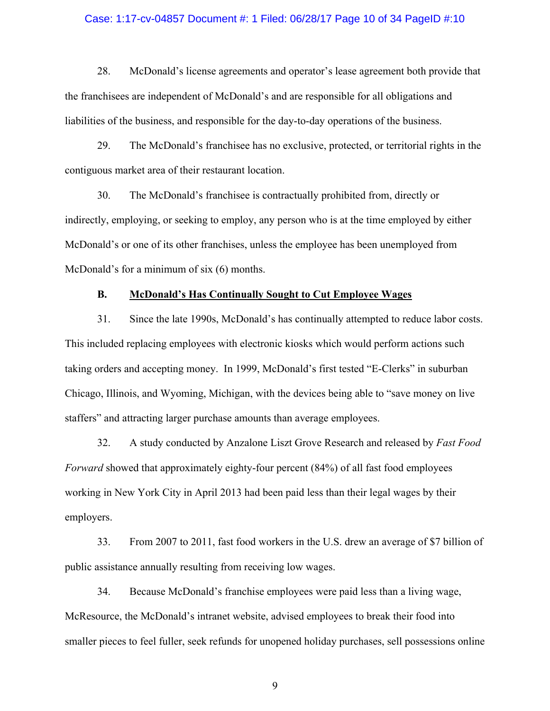## Case: 1:17-cv-04857 Document #: 1 Filed: 06/28/17 Page 10 of 34 PageID #:10

28. McDonald's license agreements and operator's lease agreement both provide that the franchisees are independent of McDonald's and are responsible for all obligations and liabilities of the business, and responsible for the day-to-day operations of the business.

29. The McDonald's franchisee has no exclusive, protected, or territorial rights in the contiguous market area of their restaurant location.

30. The McDonald's franchisee is contractually prohibited from, directly or indirectly, employing, or seeking to employ, any person who is at the time employed by either McDonald's or one of its other franchises, unless the employee has been unemployed from McDonald's for a minimum of six (6) months.

## **B. McDonald's Has Continually Sought to Cut Employee Wages**

31. Since the late 1990s, McDonald's has continually attempted to reduce labor costs. This included replacing employees with electronic kiosks which would perform actions such taking orders and accepting money. In 1999, McDonald's first tested "E-Clerks" in suburban Chicago, Illinois, and Wyoming, Michigan, with the devices being able to "save money on live staffers" and attracting larger purchase amounts than average employees.

32. A study conducted by Anzalone Liszt Grove Research and released by *Fast Food Forward* showed that approximately eighty-four percent (84%) of all fast food employees working in New York City in April 2013 had been paid less than their legal wages by their employers.

33. From 2007 to 2011, fast food workers in the U.S. drew an average of \$7 billion of public assistance annually resulting from receiving low wages.

34. Because McDonald's franchise employees were paid less than a living wage, McResource, the McDonald's intranet website, advised employees to break their food into smaller pieces to feel fuller, seek refunds for unopened holiday purchases, sell possessions online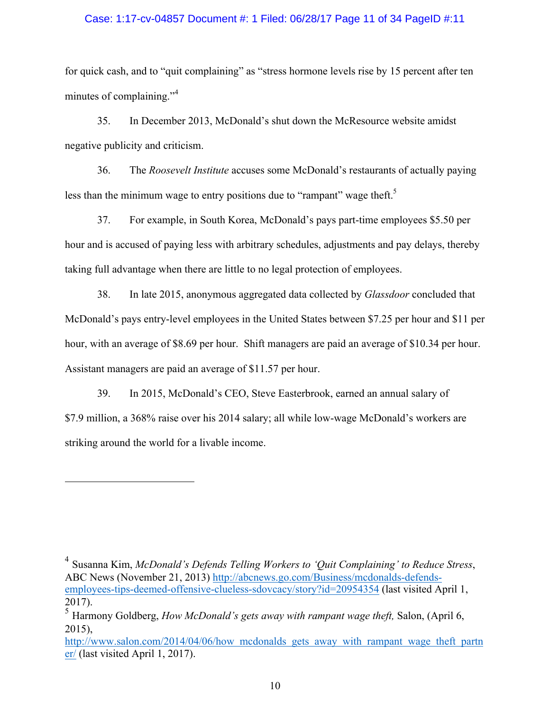## Case: 1:17-cv-04857 Document #: 1 Filed: 06/28/17 Page 11 of 34 PageID #:11

for quick cash, and to "quit complaining" as "stress hormone levels rise by 15 percent after ten minutes of complaining."<sup>4</sup>

35. In December 2013, McDonald's shut down the McResource website amidst negative publicity and criticism.

36. The *Roosevelt Institute* accuses some McDonald's restaurants of actually paying less than the minimum wage to entry positions due to "rampant" wage theft.<sup>5</sup>

37. For example, in South Korea, McDonald's pays part-time employees \$5.50 per hour and is accused of paying less with arbitrary schedules, adjustments and pay delays, thereby taking full advantage when there are little to no legal protection of employees.

38. In late 2015, anonymous aggregated data collected by *Glassdoor* concluded that McDonald's pays entry-level employees in the United States between \$7.25 per hour and \$11 per hour, with an average of \$8.69 per hour. Shift managers are paid an average of \$10.34 per hour. Assistant managers are paid an average of \$11.57 per hour.

39. In 2015, McDonald's CEO, Steve Easterbrook, earned an annual salary of \$7.9 million, a 368% raise over his 2014 salary; all while low-wage McDonald's workers are striking around the world for a livable income.

<u>.</u>

<sup>4</sup> Susanna Kim, *McDonald's Defends Telling Workers to 'Quit Complaining' to Reduce Stress*, ABC News (November 21, 2013) http://abcnews.go.com/Business/mcdonalds-defendsemployees-tips-deemed-offensive-clueless-sdovcacy/story?id=20954354 (last visited April 1, 2017).

http://www.salon.com/2014/04/06/how mcdonalds gets away with rampant wage theft partn er/ (last visited April 1, 2017).

<sup>5</sup> Harmony Goldberg, *How McDonald's gets away with rampant wage theft,* Salon, (April 6, 2015),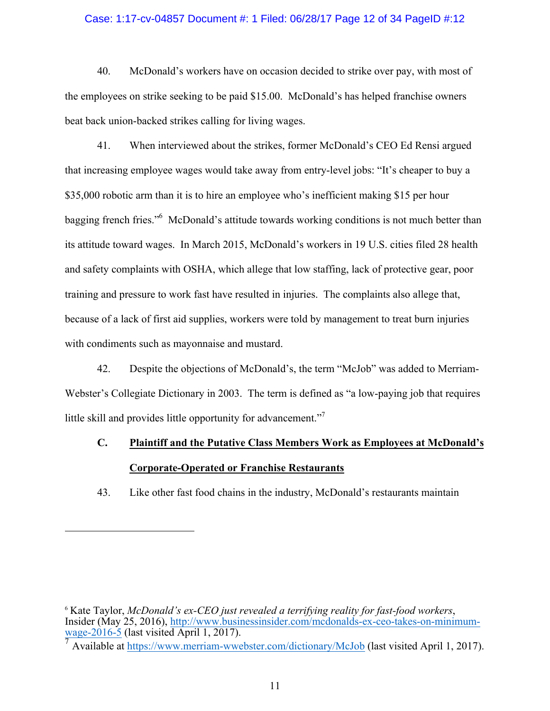## Case: 1:17-cv-04857 Document #: 1 Filed: 06/28/17 Page 12 of 34 PageID #:12

40. McDonald's workers have on occasion decided to strike over pay, with most of the employees on strike seeking to be paid \$15.00. McDonald's has helped franchise owners beat back union-backed strikes calling for living wages.

41. When interviewed about the strikes, former McDonald's CEO Ed Rensi argued that increasing employee wages would take away from entry-level jobs: "It's cheaper to buy a \$35,000 robotic arm than it is to hire an employee who's inefficient making \$15 per hour bagging french fries."<sup>6</sup> McDonald's attitude towards working conditions is not much better than its attitude toward wages. In March 2015, McDonald's workers in 19 U.S. cities filed 28 health and safety complaints with OSHA, which allege that low staffing, lack of protective gear, poor training and pressure to work fast have resulted in injuries. The complaints also allege that, because of a lack of first aid supplies, workers were told by management to treat burn injuries with condiments such as mayonnaise and mustard.

42. Despite the objections of McDonald's, the term "McJob" was added to Merriam-Webster's Collegiate Dictionary in 2003. The term is defined as "a low-paying job that requires little skill and provides little opportunity for advancement."<sup>7</sup>

# **C. Plaintiff and the Putative Class Members Work as Employees at McDonald's Corporate-Operated or Franchise Restaurants**

43. Like other fast food chains in the industry, McDonald's restaurants maintain

<u>.</u>

<sup>6</sup> Kate Taylor, *McDonald's ex-CEO just revealed a terrifying reality for fast-food workers*, Insider (May 25, 2016), http://www.businessinsider.com/mcdonalds-ex-ceo-takes-on-minimumwage-2016-5 (last visited April 1, 2017).

<sup>7</sup> Available at https://www.merriam-wwebster.com/dictionary/McJob (last visited April 1, 2017).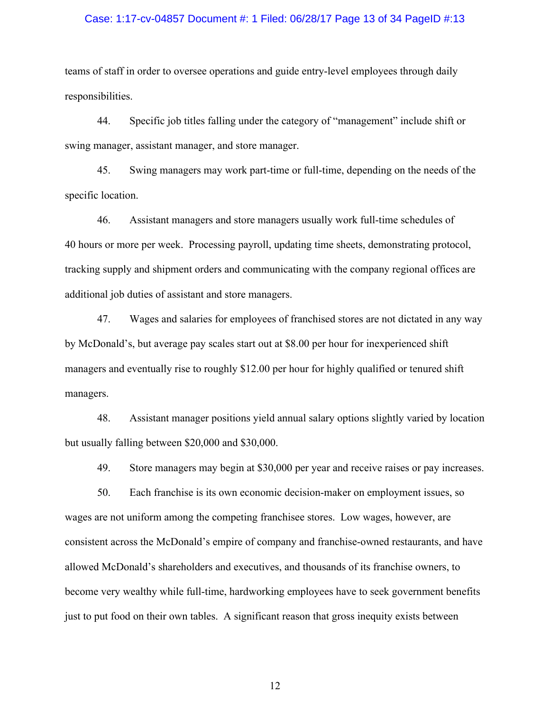## Case: 1:17-cv-04857 Document #: 1 Filed: 06/28/17 Page 13 of 34 PageID #:13

teams of staff in order to oversee operations and guide entry-level employees through daily responsibilities.

44. Specific job titles falling under the category of "management" include shift or swing manager, assistant manager, and store manager.

45. Swing managers may work part-time or full-time, depending on the needs of the specific location.

46. Assistant managers and store managers usually work full-time schedules of 40 hours or more per week. Processing payroll, updating time sheets, demonstrating protocol, tracking supply and shipment orders and communicating with the company regional offices are additional job duties of assistant and store managers.

47. Wages and salaries for employees of franchised stores are not dictated in any way by McDonald's, but average pay scales start out at \$8.00 per hour for inexperienced shift managers and eventually rise to roughly \$12.00 per hour for highly qualified or tenured shift managers.

48. Assistant manager positions yield annual salary options slightly varied by location but usually falling between \$20,000 and \$30,000.

49. Store managers may begin at \$30,000 per year and receive raises or pay increases.

50. Each franchise is its own economic decision-maker on employment issues, so wages are not uniform among the competing franchisee stores. Low wages, however, are consistent across the McDonald's empire of company and franchise-owned restaurants, and have allowed McDonald's shareholders and executives, and thousands of its franchise owners, to become very wealthy while full-time, hardworking employees have to seek government benefits just to put food on their own tables. A significant reason that gross inequity exists between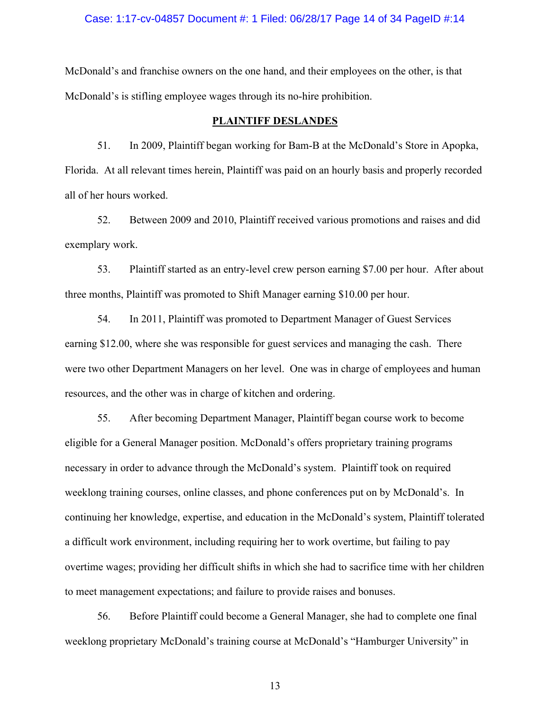#### Case: 1:17-cv-04857 Document #: 1 Filed: 06/28/17 Page 14 of 34 PageID #:14

McDonald's and franchise owners on the one hand, and their employees on the other, is that McDonald's is stifling employee wages through its no-hire prohibition.

## **PLAINTIFF DESLANDES**

51. In 2009, Plaintiff began working for Bam-B at the McDonald's Store in Apopka, Florida. At all relevant times herein, Plaintiff was paid on an hourly basis and properly recorded all of her hours worked.

52. Between 2009 and 2010, Plaintiff received various promotions and raises and did exemplary work.

53. Plaintiff started as an entry-level crew person earning \$7.00 per hour. After about three months, Plaintiff was promoted to Shift Manager earning \$10.00 per hour.

54. In 2011, Plaintiff was promoted to Department Manager of Guest Services earning \$12.00, where she was responsible for guest services and managing the cash. There were two other Department Managers on her level. One was in charge of employees and human resources, and the other was in charge of kitchen and ordering.

55. After becoming Department Manager, Plaintiff began course work to become eligible for a General Manager position. McDonald's offers proprietary training programs necessary in order to advance through the McDonald's system. Plaintiff took on required weeklong training courses, online classes, and phone conferences put on by McDonald's. In continuing her knowledge, expertise, and education in the McDonald's system, Plaintiff tolerated a difficult work environment, including requiring her to work overtime, but failing to pay overtime wages; providing her difficult shifts in which she had to sacrifice time with her children to meet management expectations; and failure to provide raises and bonuses.

56. Before Plaintiff could become a General Manager, she had to complete one final weeklong proprietary McDonald's training course at McDonald's "Hamburger University" in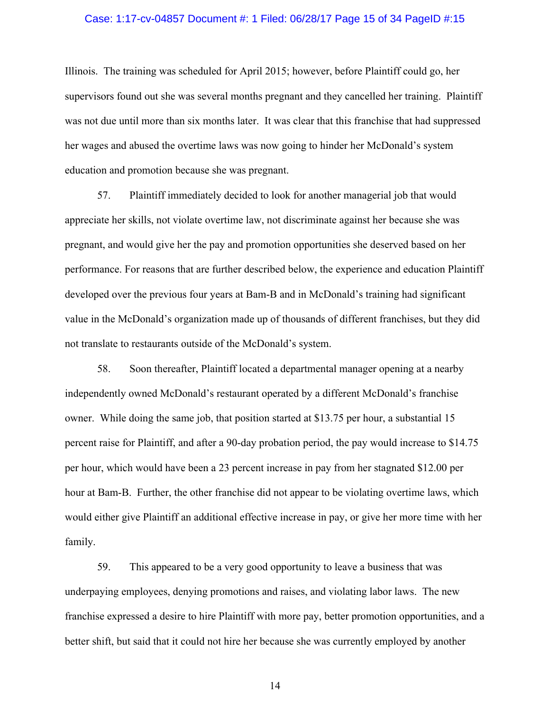## Case: 1:17-cv-04857 Document #: 1 Filed: 06/28/17 Page 15 of 34 PageID #:15

Illinois. The training was scheduled for April 2015; however, before Plaintiff could go, her supervisors found out she was several months pregnant and they cancelled her training. Plaintiff was not due until more than six months later. It was clear that this franchise that had suppressed her wages and abused the overtime laws was now going to hinder her McDonald's system education and promotion because she was pregnant.

57. Plaintiff immediately decided to look for another managerial job that would appreciate her skills, not violate overtime law, not discriminate against her because she was pregnant, and would give her the pay and promotion opportunities she deserved based on her performance. For reasons that are further described below, the experience and education Plaintiff developed over the previous four years at Bam-B and in McDonald's training had significant value in the McDonald's organization made up of thousands of different franchises, but they did not translate to restaurants outside of the McDonald's system.

58. Soon thereafter, Plaintiff located a departmental manager opening at a nearby independently owned McDonald's restaurant operated by a different McDonald's franchise owner. While doing the same job, that position started at \$13.75 per hour, a substantial 15 percent raise for Plaintiff, and after a 90-day probation period, the pay would increase to \$14.75 per hour, which would have been a 23 percent increase in pay from her stagnated \$12.00 per hour at Bam-B. Further, the other franchise did not appear to be violating overtime laws, which would either give Plaintiff an additional effective increase in pay, or give her more time with her family.

59. This appeared to be a very good opportunity to leave a business that was underpaying employees, denying promotions and raises, and violating labor laws. The new franchise expressed a desire to hire Plaintiff with more pay, better promotion opportunities, and a better shift, but said that it could not hire her because she was currently employed by another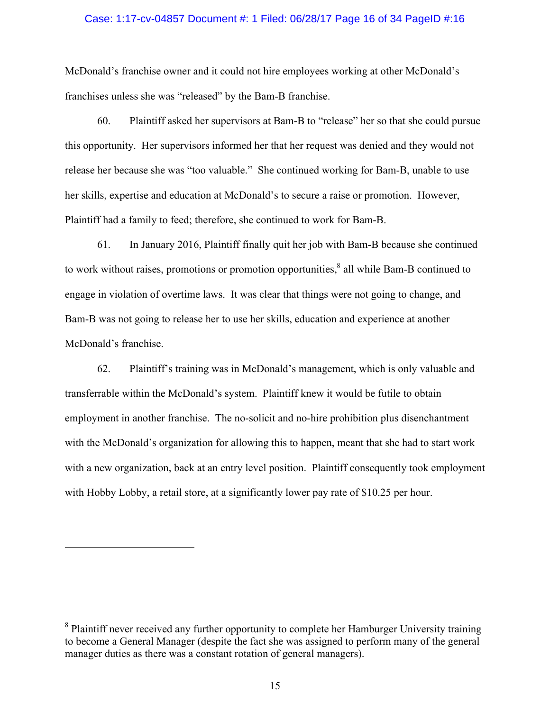## Case: 1:17-cv-04857 Document #: 1 Filed: 06/28/17 Page 16 of 34 PageID #:16

McDonald's franchise owner and it could not hire employees working at other McDonald's franchises unless she was "released" by the Bam-B franchise.

60. Plaintiff asked her supervisors at Bam-B to "release" her so that she could pursue this opportunity. Her supervisors informed her that her request was denied and they would not release her because she was "too valuable." She continued working for Bam-B, unable to use her skills, expertise and education at McDonald's to secure a raise or promotion. However, Plaintiff had a family to feed; therefore, she continued to work for Bam-B.

61. In January 2016, Plaintiff finally quit her job with Bam-B because she continued to work without raises, promotions or promotion opportunities, ${}^{8}$  all while Bam-B continued to engage in violation of overtime laws. It was clear that things were not going to change, and Bam-B was not going to release her to use her skills, education and experience at another McDonald's franchise.

62. Plaintiff's training was in McDonald's management, which is only valuable and transferrable within the McDonald's system. Plaintiff knew it would be futile to obtain employment in another franchise. The no-solicit and no-hire prohibition plus disenchantment with the McDonald's organization for allowing this to happen, meant that she had to start work with a new organization, back at an entry level position. Plaintiff consequently took employment with Hobby Lobby, a retail store, at a significantly lower pay rate of \$10.25 per hour.

<u>.</u>

<sup>&</sup>lt;sup>8</sup> Plaintiff never received any further opportunity to complete her Hamburger University training to become a General Manager (despite the fact she was assigned to perform many of the general manager duties as there was a constant rotation of general managers).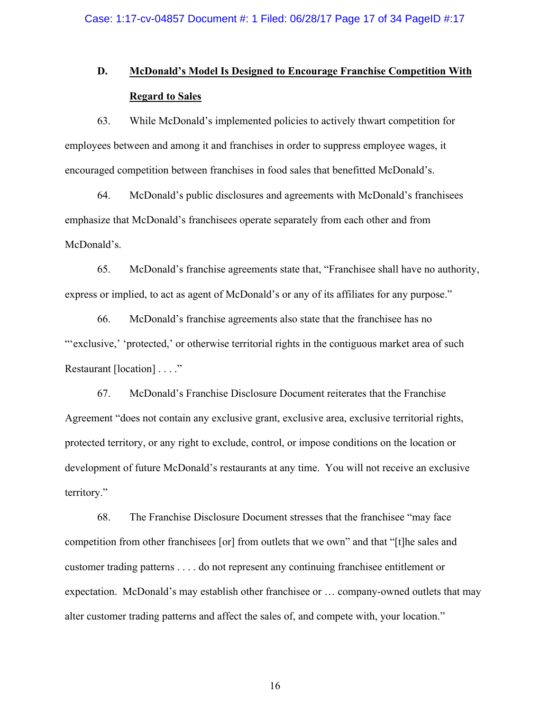## **D. McDonald's Model Is Designed to Encourage Franchise Competition With Regard to Sales**

63. While McDonald's implemented policies to actively thwart competition for employees between and among it and franchises in order to suppress employee wages, it encouraged competition between franchises in food sales that benefitted McDonald's.

64. McDonald's public disclosures and agreements with McDonald's franchisees emphasize that McDonald's franchisees operate separately from each other and from McDonald's.

65. McDonald's franchise agreements state that, "Franchisee shall have no authority, express or implied, to act as agent of McDonald's or any of its affiliates for any purpose."

66. McDonald's franchise agreements also state that the franchisee has no ""exclusive," 'protected,' or otherwise territorial rights in the contiguous market area of such Restaurant [location] . . . ."

67. McDonald's Franchise Disclosure Document reiterates that the Franchise Agreement "does not contain any exclusive grant, exclusive area, exclusive territorial rights, protected territory, or any right to exclude, control, or impose conditions on the location or development of future McDonald's restaurants at any time. You will not receive an exclusive territory."

68. The Franchise Disclosure Document stresses that the franchisee "may face competition from other franchisees [or] from outlets that we own" and that "[t]he sales and customer trading patterns . . . . do not represent any continuing franchisee entitlement or expectation. McDonald's may establish other franchisee or … company-owned outlets that may alter customer trading patterns and affect the sales of, and compete with, your location."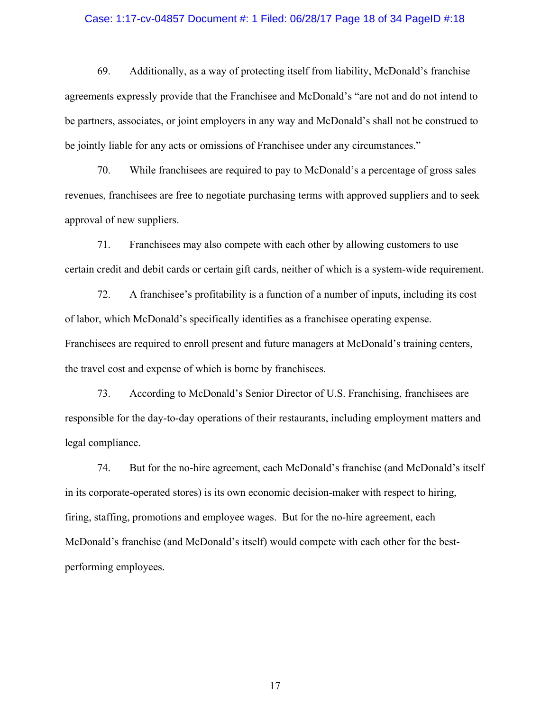### Case: 1:17-cv-04857 Document #: 1 Filed: 06/28/17 Page 18 of 34 PageID #:18

69. Additionally, as a way of protecting itself from liability, McDonald's franchise agreements expressly provide that the Franchisee and McDonald's "are not and do not intend to be partners, associates, or joint employers in any way and McDonald's shall not be construed to be jointly liable for any acts or omissions of Franchisee under any circumstances."

70. While franchisees are required to pay to McDonald's a percentage of gross sales revenues, franchisees are free to negotiate purchasing terms with approved suppliers and to seek approval of new suppliers.

71. Franchisees may also compete with each other by allowing customers to use certain credit and debit cards or certain gift cards, neither of which is a system-wide requirement.

72. A franchisee's profitability is a function of a number of inputs, including its cost of labor, which McDonald's specifically identifies as a franchisee operating expense. Franchisees are required to enroll present and future managers at McDonald's training centers, the travel cost and expense of which is borne by franchisees.

73. According to McDonald's Senior Director of U.S. Franchising, franchisees are responsible for the day-to-day operations of their restaurants, including employment matters and legal compliance.

74. But for the no-hire agreement, each McDonald's franchise (and McDonald's itself in its corporate-operated stores) is its own economic decision-maker with respect to hiring, firing, staffing, promotions and employee wages. But for the no-hire agreement, each McDonald's franchise (and McDonald's itself) would compete with each other for the bestperforming employees.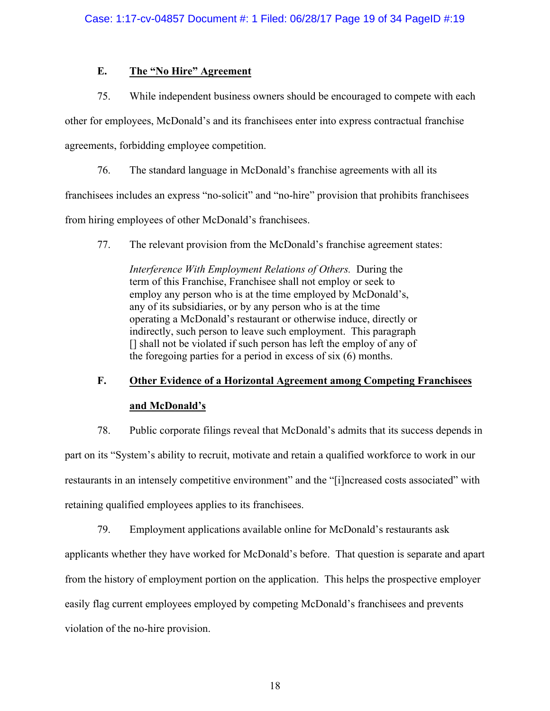## **E. The "No Hire" Agreement**

75. While independent business owners should be encouraged to compete with each

other for employees, McDonald's and its franchisees enter into express contractual franchise

agreements, forbidding employee competition.

76. The standard language in McDonald's franchise agreements with all its

franchisees includes an express "no-solicit" and "no-hire" provision that prohibits franchisees

from hiring employees of other McDonald's franchisees.

77. The relevant provision from the McDonald's franchise agreement states:

*Interference With Employment Relations of Others.* During the term of this Franchise, Franchisee shall not employ or seek to employ any person who is at the time employed by McDonald's, any of its subsidiaries, or by any person who is at the time operating a McDonald's restaurant or otherwise induce, directly or indirectly, such person to leave such employment. This paragraph [] shall not be violated if such person has left the employ of any of the foregoing parties for a period in excess of six (6) months.

# **F. Other Evidence of a Horizontal Agreement among Competing Franchisees and McDonald's**

78. Public corporate filings reveal that McDonald's admits that its success depends in part on its "System's ability to recruit, motivate and retain a qualified workforce to work in our restaurants in an intensely competitive environment" and the "[i]ncreased costs associated" with retaining qualified employees applies to its franchisees.

79. Employment applications available online for McDonald's restaurants ask

applicants whether they have worked for McDonald's before. That question is separate and apart

from the history of employment portion on the application. This helps the prospective employer

easily flag current employees employed by competing McDonald's franchisees and prevents

violation of the no-hire provision.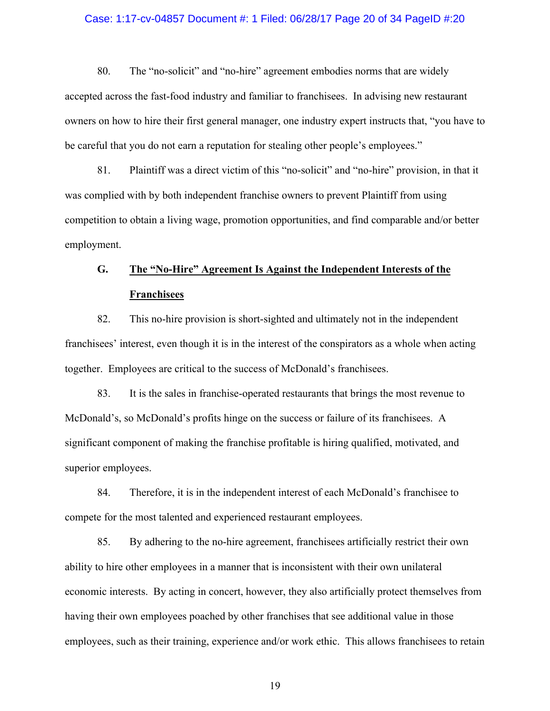## Case: 1:17-cv-04857 Document #: 1 Filed: 06/28/17 Page 20 of 34 PageID #:20

80. The "no-solicit" and "no-hire" agreement embodies norms that are widely accepted across the fast-food industry and familiar to franchisees. In advising new restaurant owners on how to hire their first general manager, one industry expert instructs that, "you have to be careful that you do not earn a reputation for stealing other people's employees."

81. Plaintiff was a direct victim of this "no-solicit" and "no-hire" provision, in that it was complied with by both independent franchise owners to prevent Plaintiff from using competition to obtain a living wage, promotion opportunities, and find comparable and/or better employment.

# **G. The "No-Hire" Agreement Is Against the Independent Interests of the Franchisees**

82. This no-hire provision is short-sighted and ultimately not in the independent franchisees' interest, even though it is in the interest of the conspirators as a whole when acting together. Employees are critical to the success of McDonald's franchisees.

83. It is the sales in franchise-operated restaurants that brings the most revenue to McDonald's, so McDonald's profits hinge on the success or failure of its franchisees. A significant component of making the franchise profitable is hiring qualified, motivated, and superior employees.

84. Therefore, it is in the independent interest of each McDonald's franchisee to compete for the most talented and experienced restaurant employees.

85. By adhering to the no-hire agreement, franchisees artificially restrict their own ability to hire other employees in a manner that is inconsistent with their own unilateral economic interests. By acting in concert, however, they also artificially protect themselves from having their own employees poached by other franchises that see additional value in those employees, such as their training, experience and/or work ethic. This allows franchisees to retain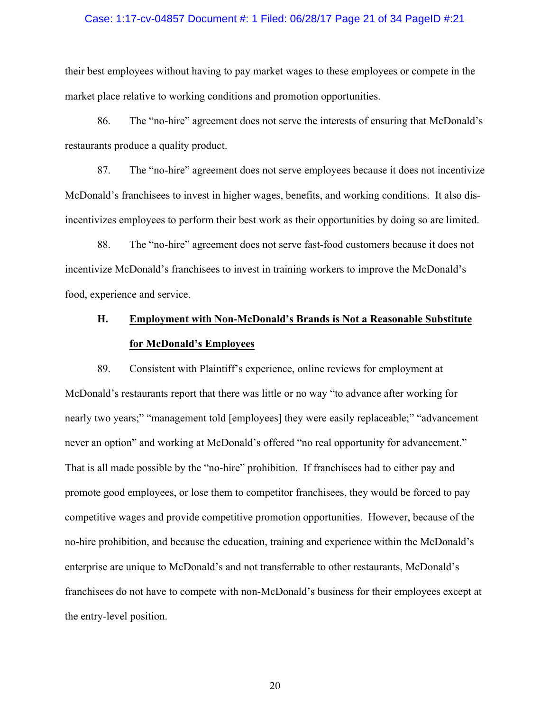#### Case: 1:17-cv-04857 Document #: 1 Filed: 06/28/17 Page 21 of 34 PageID #:21

their best employees without having to pay market wages to these employees or compete in the market place relative to working conditions and promotion opportunities.

86. The "no-hire" agreement does not serve the interests of ensuring that McDonald's restaurants produce a quality product.

87. The "no-hire" agreement does not serve employees because it does not incentivize McDonald's franchisees to invest in higher wages, benefits, and working conditions. It also disincentivizes employees to perform their best work as their opportunities by doing so are limited.

88. The "no-hire" agreement does not serve fast-food customers because it does not incentivize McDonald's franchisees to invest in training workers to improve the McDonald's food, experience and service.

# **H. Employment with Non-McDonald's Brands is Not a Reasonable Substitute for McDonald's Employees**

89. Consistent with Plaintiff's experience, online reviews for employment at McDonald's restaurants report that there was little or no way "to advance after working for nearly two years;" "management told [employees] they were easily replaceable;" "advancement never an option" and working at McDonald's offered "no real opportunity for advancement." That is all made possible by the "no-hire" prohibition. If franchisees had to either pay and promote good employees, or lose them to competitor franchisees, they would be forced to pay competitive wages and provide competitive promotion opportunities. However, because of the no-hire prohibition, and because the education, training and experience within the McDonald's enterprise are unique to McDonald's and not transferrable to other restaurants, McDonald's franchisees do not have to compete with non-McDonald's business for their employees except at the entry-level position.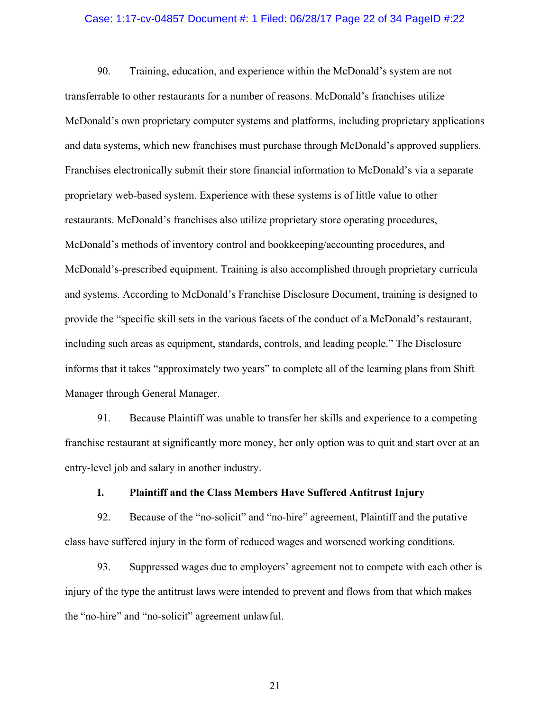### Case: 1:17-cv-04857 Document #: 1 Filed: 06/28/17 Page 22 of 34 PageID #:22

90. Training, education, and experience within the McDonald's system are not transferrable to other restaurants for a number of reasons. McDonald's franchises utilize McDonald's own proprietary computer systems and platforms, including proprietary applications and data systems, which new franchises must purchase through McDonald's approved suppliers. Franchises electronically submit their store financial information to McDonald's via a separate proprietary web-based system. Experience with these systems is of little value to other restaurants. McDonald's franchises also utilize proprietary store operating procedures, McDonald's methods of inventory control and bookkeeping/accounting procedures, and McDonald's-prescribed equipment. Training is also accomplished through proprietary curricula and systems. According to McDonald's Franchise Disclosure Document, training is designed to provide the "specific skill sets in the various facets of the conduct of a McDonald's restaurant, including such areas as equipment, standards, controls, and leading people." The Disclosure informs that it takes "approximately two years" to complete all of the learning plans from Shift Manager through General Manager.

91. Because Plaintiff was unable to transfer her skills and experience to a competing franchise restaurant at significantly more money, her only option was to quit and start over at an entry-level job and salary in another industry.

## **I. Plaintiff and the Class Members Have Suffered Antitrust Injury**

92. Because of the "no-solicit" and "no-hire" agreement, Plaintiff and the putative class have suffered injury in the form of reduced wages and worsened working conditions.

93. Suppressed wages due to employers' agreement not to compete with each other is injury of the type the antitrust laws were intended to prevent and flows from that which makes the "no-hire" and "no-solicit" agreement unlawful.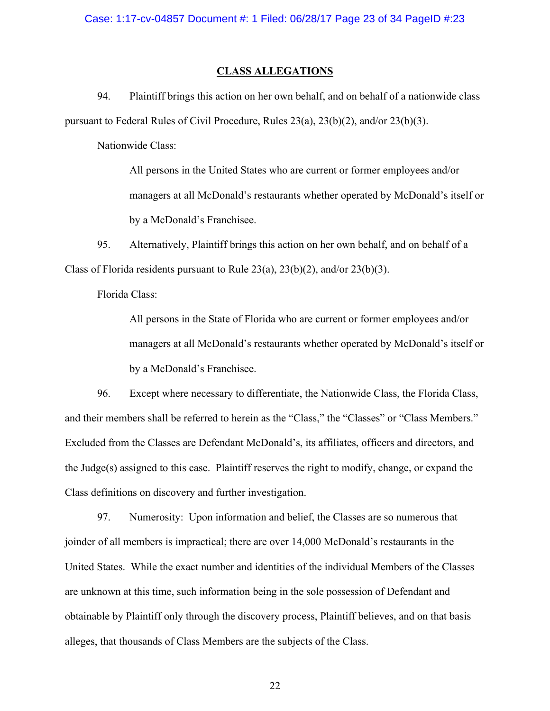## **CLASS ALLEGATIONS**

94. Plaintiff brings this action on her own behalf, and on behalf of a nationwide class pursuant to Federal Rules of Civil Procedure, Rules 23(a), 23(b)(2), and/or 23(b)(3).

Nationwide Class:

All persons in the United States who are current or former employees and/or managers at all McDonald's restaurants whether operated by McDonald's itself or by a McDonald's Franchisee.

95. Alternatively, Plaintiff brings this action on her own behalf, and on behalf of a Class of Florida residents pursuant to Rule  $23(a)$ ,  $23(b)(2)$ , and/or  $23(b)(3)$ .

Florida Class:

All persons in the State of Florida who are current or former employees and/or managers at all McDonald's restaurants whether operated by McDonald's itself or by a McDonald's Franchisee.

96. Except where necessary to differentiate, the Nationwide Class, the Florida Class, and their members shall be referred to herein as the "Class," the "Classes" or "Class Members." Excluded from the Classes are Defendant McDonald's, its affiliates, officers and directors, and the Judge(s) assigned to this case. Plaintiff reserves the right to modify, change, or expand the Class definitions on discovery and further investigation.

97. Numerosity: Upon information and belief, the Classes are so numerous that joinder of all members is impractical; there are over 14,000 McDonald's restaurants in the United States. While the exact number and identities of the individual Members of the Classes are unknown at this time, such information being in the sole possession of Defendant and obtainable by Plaintiff only through the discovery process, Plaintiff believes, and on that basis alleges, that thousands of Class Members are the subjects of the Class.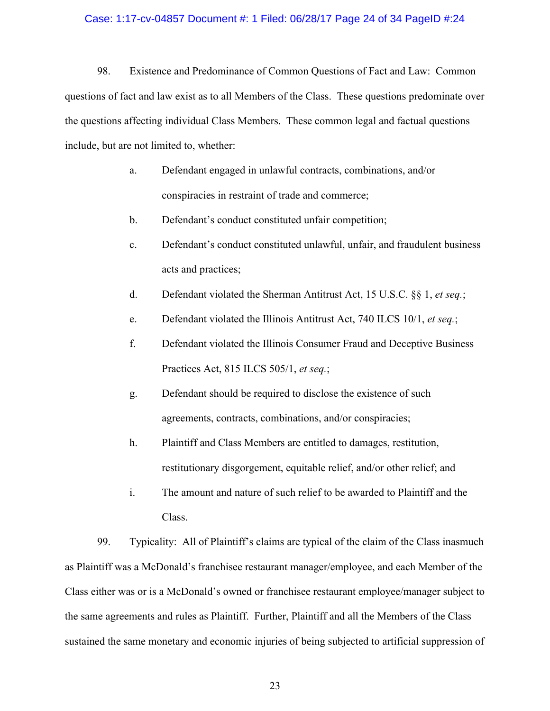### Case: 1:17-cv-04857 Document #: 1 Filed: 06/28/17 Page 24 of 34 PageID #:24

98. Existence and Predominance of Common Questions of Fact and Law: Common questions of fact and law exist as to all Members of the Class. These questions predominate over the questions affecting individual Class Members. These common legal and factual questions include, but are not limited to, whether:

- a. Defendant engaged in unlawful contracts, combinations, and/or conspiracies in restraint of trade and commerce;
- b. Defendant's conduct constituted unfair competition;
- c. Defendant's conduct constituted unlawful, unfair, and fraudulent business acts and practices;
- d. Defendant violated the Sherman Antitrust Act, 15 U.S.C. §§ 1, *et seq.*;
- e. Defendant violated the Illinois Antitrust Act, 740 ILCS 10/1, *et seq.*;
- f. Defendant violated the Illinois Consumer Fraud and Deceptive Business Practices Act, 815 ILCS 505/1, *et seq.*;
- g. Defendant should be required to disclose the existence of such agreements, contracts, combinations, and/or conspiracies;
- h. Plaintiff and Class Members are entitled to damages, restitution, restitutionary disgorgement, equitable relief, and/or other relief; and
- i. The amount and nature of such relief to be awarded to Plaintiff and the Class.

99. Typicality: All of Plaintiff's claims are typical of the claim of the Class inasmuch as Plaintiff was a McDonald's franchisee restaurant manager/employee, and each Member of the Class either was or is a McDonald's owned or franchisee restaurant employee/manager subject to the same agreements and rules as Plaintiff. Further, Plaintiff and all the Members of the Class sustained the same monetary and economic injuries of being subjected to artificial suppression of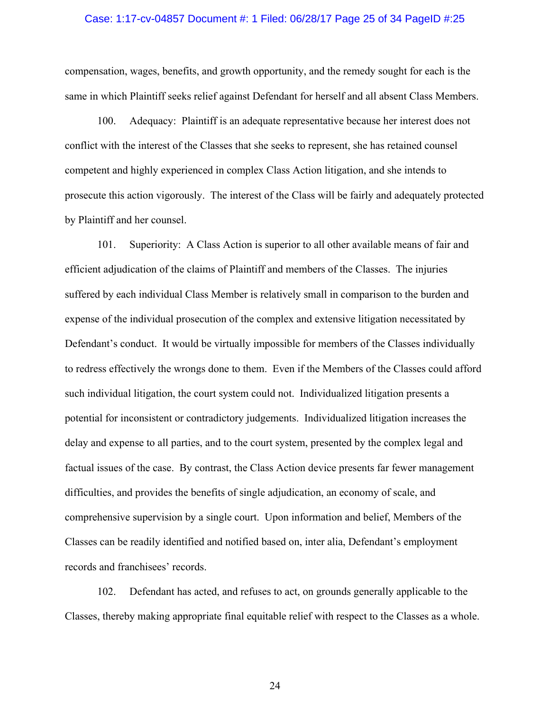### Case: 1:17-cv-04857 Document #: 1 Filed: 06/28/17 Page 25 of 34 PageID #:25

compensation, wages, benefits, and growth opportunity, and the remedy sought for each is the same in which Plaintiff seeks relief against Defendant for herself and all absent Class Members.

100. Adequacy: Plaintiff is an adequate representative because her interest does not conflict with the interest of the Classes that she seeks to represent, she has retained counsel competent and highly experienced in complex Class Action litigation, and she intends to prosecute this action vigorously. The interest of the Class will be fairly and adequately protected by Plaintiff and her counsel.

101. Superiority: A Class Action is superior to all other available means of fair and efficient adjudication of the claims of Plaintiff and members of the Classes. The injuries suffered by each individual Class Member is relatively small in comparison to the burden and expense of the individual prosecution of the complex and extensive litigation necessitated by Defendant's conduct. It would be virtually impossible for members of the Classes individually to redress effectively the wrongs done to them. Even if the Members of the Classes could afford such individual litigation, the court system could not. Individualized litigation presents a potential for inconsistent or contradictory judgements. Individualized litigation increases the delay and expense to all parties, and to the court system, presented by the complex legal and factual issues of the case. By contrast, the Class Action device presents far fewer management difficulties, and provides the benefits of single adjudication, an economy of scale, and comprehensive supervision by a single court. Upon information and belief, Members of the Classes can be readily identified and notified based on, inter alia, Defendant's employment records and franchisees' records.

102. Defendant has acted, and refuses to act, on grounds generally applicable to the Classes, thereby making appropriate final equitable relief with respect to the Classes as a whole.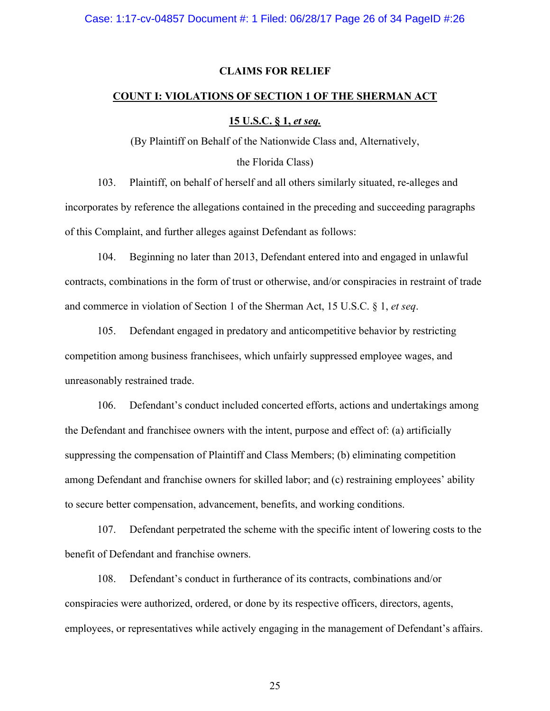## **CLAIMS FOR RELIEF**

## **COUNT I: VIOLATIONS OF SECTION 1 OF THE SHERMAN ACT**

## **15 U.S.C. § 1,** *et seq.*

(By Plaintiff on Behalf of the Nationwide Class and, Alternatively,

the Florida Class)

103. Plaintiff, on behalf of herself and all others similarly situated, re-alleges and incorporates by reference the allegations contained in the preceding and succeeding paragraphs of this Complaint, and further alleges against Defendant as follows:

104. Beginning no later than 2013, Defendant entered into and engaged in unlawful contracts, combinations in the form of trust or otherwise, and/or conspiracies in restraint of trade and commerce in violation of Section 1 of the Sherman Act, 15 U.S.C. § 1, *et seq*.

105. Defendant engaged in predatory and anticompetitive behavior by restricting competition among business franchisees, which unfairly suppressed employee wages, and unreasonably restrained trade.

106. Defendant's conduct included concerted efforts, actions and undertakings among the Defendant and franchisee owners with the intent, purpose and effect of: (a) artificially suppressing the compensation of Plaintiff and Class Members; (b) eliminating competition among Defendant and franchise owners for skilled labor; and (c) restraining employees' ability to secure better compensation, advancement, benefits, and working conditions.

107. Defendant perpetrated the scheme with the specific intent of lowering costs to the benefit of Defendant and franchise owners.

108. Defendant's conduct in furtherance of its contracts, combinations and/or conspiracies were authorized, ordered, or done by its respective officers, directors, agents, employees, or representatives while actively engaging in the management of Defendant's affairs.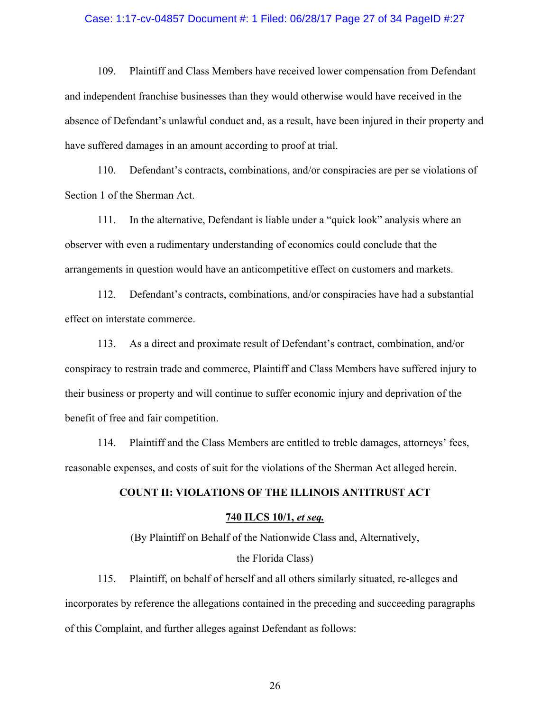#### Case: 1:17-cv-04857 Document #: 1 Filed: 06/28/17 Page 27 of 34 PageID #:27

109. Plaintiff and Class Members have received lower compensation from Defendant and independent franchise businesses than they would otherwise would have received in the absence of Defendant's unlawful conduct and, as a result, have been injured in their property and have suffered damages in an amount according to proof at trial.

110. Defendant's contracts, combinations, and/or conspiracies are per se violations of Section 1 of the Sherman Act.

111. In the alternative, Defendant is liable under a "quick look" analysis where an observer with even a rudimentary understanding of economics could conclude that the arrangements in question would have an anticompetitive effect on customers and markets.

112. Defendant's contracts, combinations, and/or conspiracies have had a substantial effect on interstate commerce.

113. As a direct and proximate result of Defendant's contract, combination, and/or conspiracy to restrain trade and commerce, Plaintiff and Class Members have suffered injury to their business or property and will continue to suffer economic injury and deprivation of the benefit of free and fair competition.

114. Plaintiff and the Class Members are entitled to treble damages, attorneys' fees, reasonable expenses, and costs of suit for the violations of the Sherman Act alleged herein.

## **COUNT II: VIOLATIONS OF THE ILLINOIS ANTITRUST ACT**

#### **740 ILCS 10/1,** *et seq.*

(By Plaintiff on Behalf of the Nationwide Class and, Alternatively, the Florida Class)

115. Plaintiff, on behalf of herself and all others similarly situated, re-alleges and incorporates by reference the allegations contained in the preceding and succeeding paragraphs of this Complaint, and further alleges against Defendant as follows: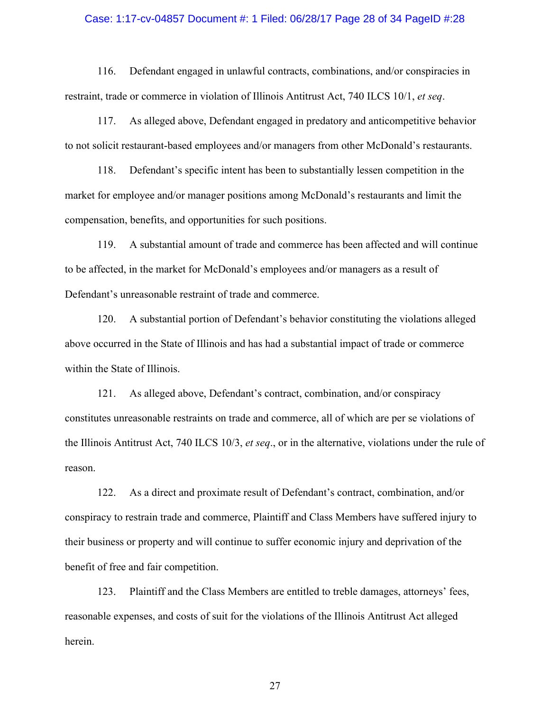### Case: 1:17-cv-04857 Document #: 1 Filed: 06/28/17 Page 28 of 34 PageID #:28

116. Defendant engaged in unlawful contracts, combinations, and/or conspiracies in restraint, trade or commerce in violation of Illinois Antitrust Act, 740 ILCS 10/1, *et seq*.

117. As alleged above, Defendant engaged in predatory and anticompetitive behavior to not solicit restaurant-based employees and/or managers from other McDonald's restaurants.

118. Defendant's specific intent has been to substantially lessen competition in the market for employee and/or manager positions among McDonald's restaurants and limit the compensation, benefits, and opportunities for such positions.

119. A substantial amount of trade and commerce has been affected and will continue to be affected, in the market for McDonald's employees and/or managers as a result of Defendant's unreasonable restraint of trade and commerce.

120. A substantial portion of Defendant's behavior constituting the violations alleged above occurred in the State of Illinois and has had a substantial impact of trade or commerce within the State of Illinois.

121. As alleged above, Defendant's contract, combination, and/or conspiracy constitutes unreasonable restraints on trade and commerce, all of which are per se violations of the Illinois Antitrust Act, 740 ILCS 10/3, *et seq*., or in the alternative, violations under the rule of reason.

122. As a direct and proximate result of Defendant's contract, combination, and/or conspiracy to restrain trade and commerce, Plaintiff and Class Members have suffered injury to their business or property and will continue to suffer economic injury and deprivation of the benefit of free and fair competition.

123. Plaintiff and the Class Members are entitled to treble damages, attorneys' fees, reasonable expenses, and costs of suit for the violations of the Illinois Antitrust Act alleged herein.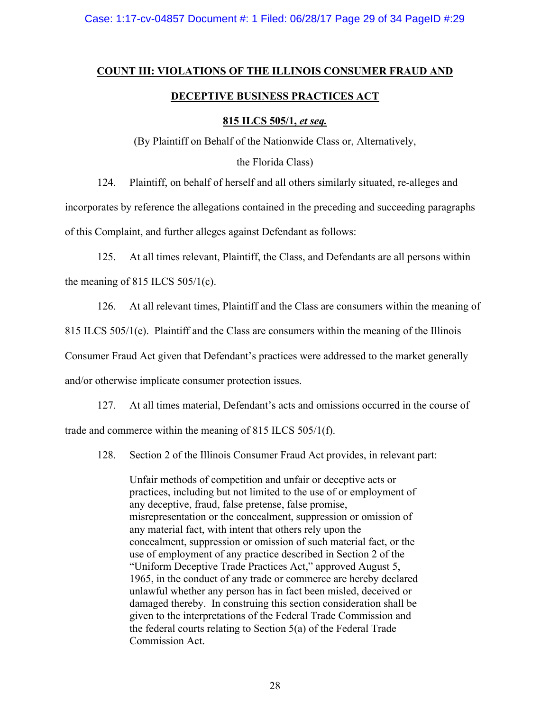# **COUNT III: VIOLATIONS OF THE ILLINOIS CONSUMER FRAUD AND DECEPTIVE BUSINESS PRACTICES ACT**

## **815 ILCS 505/1,** *et seq.*

(By Plaintiff on Behalf of the Nationwide Class or, Alternatively,

the Florida Class)

124. Plaintiff, on behalf of herself and all others similarly situated, re-alleges and

incorporates by reference the allegations contained in the preceding and succeeding paragraphs

of this Complaint, and further alleges against Defendant as follows:

125. At all times relevant, Plaintiff, the Class, and Defendants are all persons within the meaning of 815 ILCS  $505/1(c)$ .

126. At all relevant times, Plaintiff and the Class are consumers within the meaning of

815 ILCS 505/1(e). Plaintiff and the Class are consumers within the meaning of the Illinois

Consumer Fraud Act given that Defendant's practices were addressed to the market generally

and/or otherwise implicate consumer protection issues.

127. At all times material, Defendant's acts and omissions occurred in the course of trade and commerce within the meaning of 815 ILCS 505/1(f).

128. Section 2 of the Illinois Consumer Fraud Act provides, in relevant part:

Unfair methods of competition and unfair or deceptive acts or practices, including but not limited to the use of or employment of any deceptive, fraud, false pretense, false promise, misrepresentation or the concealment, suppression or omission of any material fact, with intent that others rely upon the concealment, suppression or omission of such material fact, or the use of employment of any practice described in Section 2 of the "Uniform Deceptive Trade Practices Act," approved August 5, 1965, in the conduct of any trade or commerce are hereby declared unlawful whether any person has in fact been misled, deceived or damaged thereby. In construing this section consideration shall be given to the interpretations of the Federal Trade Commission and the federal courts relating to Section 5(a) of the Federal Trade Commission Act.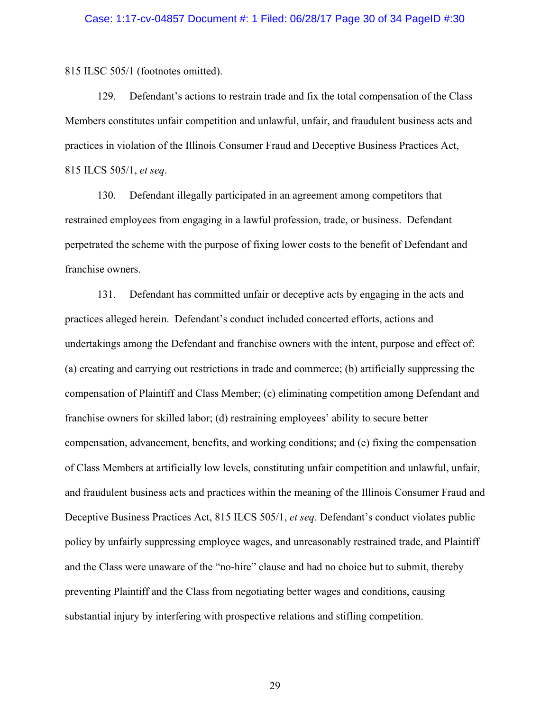815 ILSC 505/1 (footnotes omitted).

129. Defendant's actions to restrain trade and fix the total compensation of the Class Members constitutes unfair competition and unlawful, unfair, and fraudulent business acts and practices in violation of the Illinois Consumer Fraud and Deceptive Business Practices Act, 815 ILCS 505/1, *et seq*.

130. Defendant illegally participated in an agreement among competitors that restrained employees from engaging in a lawful profession, trade, or business. Defendant perpetrated the scheme with the purpose of fixing lower costs to the benefit of Defendant and franchise owners.

131. Defendant has committed unfair or deceptive acts by engaging in the acts and practices alleged herein. Defendant's conduct included concerted efforts, actions and undertakings among the Defendant and franchise owners with the intent, purpose and effect of: (a) creating and carrying out restrictions in trade and commerce; (b) artificially suppressing the compensation of Plaintiff and Class Member; (c) eliminating competition among Defendant and franchise owners for skilled labor; (d) restraining employees' ability to secure better compensation, advancement, benefits, and working conditions; and (e) fixing the compensation of Class Members at artificially low levels, constituting unfair competition and unlawful, unfair, and fraudulent business acts and practices within the meaning of the Illinois Consumer Fraud and Deceptive Business Practices Act, 815 ILCS 505/1, *et seq*. Defendant's conduct violates public policy by unfairly suppressing employee wages, and unreasonably restrained trade, and Plaintiff and the Class were unaware of the "no-hire" clause and had no choice but to submit, thereby preventing Plaintiff and the Class from negotiating better wages and conditions, causing substantial injury by interfering with prospective relations and stifling competition.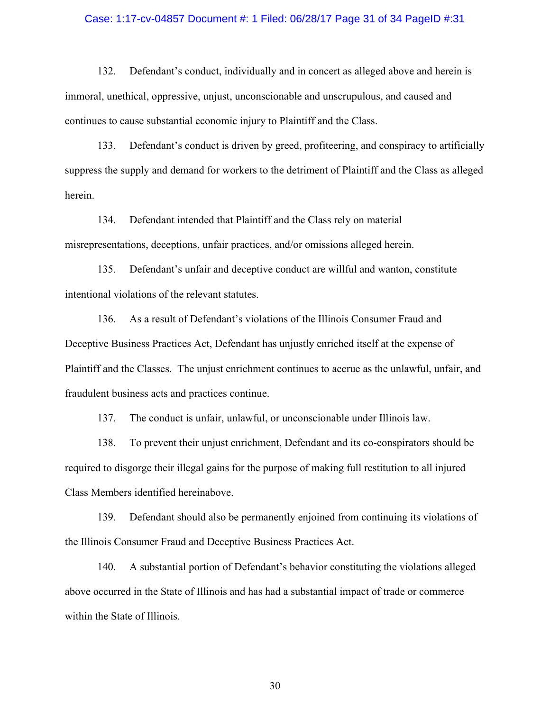#### Case: 1:17-cv-04857 Document #: 1 Filed: 06/28/17 Page 31 of 34 PageID #:31

132. Defendant's conduct, individually and in concert as alleged above and herein is immoral, unethical, oppressive, unjust, unconscionable and unscrupulous, and caused and continues to cause substantial economic injury to Plaintiff and the Class.

133. Defendant's conduct is driven by greed, profiteering, and conspiracy to artificially suppress the supply and demand for workers to the detriment of Plaintiff and the Class as alleged herein.

134. Defendant intended that Plaintiff and the Class rely on material misrepresentations, deceptions, unfair practices, and/or omissions alleged herein.

135. Defendant's unfair and deceptive conduct are willful and wanton, constitute intentional violations of the relevant statutes.

136. As a result of Defendant's violations of the Illinois Consumer Fraud and Deceptive Business Practices Act, Defendant has unjustly enriched itself at the expense of Plaintiff and the Classes. The unjust enrichment continues to accrue as the unlawful, unfair, and fraudulent business acts and practices continue.

137. The conduct is unfair, unlawful, or unconscionable under Illinois law.

138. To prevent their unjust enrichment, Defendant and its co-conspirators should be required to disgorge their illegal gains for the purpose of making full restitution to all injured Class Members identified hereinabove.

139. Defendant should also be permanently enjoined from continuing its violations of the Illinois Consumer Fraud and Deceptive Business Practices Act.

140. A substantial portion of Defendant's behavior constituting the violations alleged above occurred in the State of Illinois and has had a substantial impact of trade or commerce within the State of Illinois.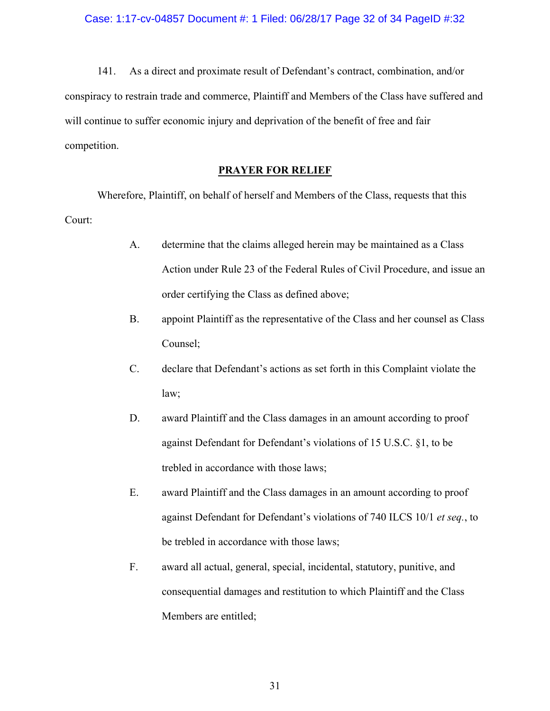141. As a direct and proximate result of Defendant's contract, combination, and/or conspiracy to restrain trade and commerce, Plaintiff and Members of the Class have suffered and will continue to suffer economic injury and deprivation of the benefit of free and fair competition.

## **PRAYER FOR RELIEF**

Wherefore, Plaintiff, on behalf of herself and Members of the Class, requests that this Court:

- A. determine that the claims alleged herein may be maintained as a Class Action under Rule 23 of the Federal Rules of Civil Procedure, and issue an order certifying the Class as defined above;
- B. appoint Plaintiff as the representative of the Class and her counsel as Class Counsel;
- C. declare that Defendant's actions as set forth in this Complaint violate the law;
- D. award Plaintiff and the Class damages in an amount according to proof against Defendant for Defendant's violations of 15 U.S.C. §1, to be trebled in accordance with those laws;
- E. award Plaintiff and the Class damages in an amount according to proof against Defendant for Defendant's violations of 740 ILCS 10/1 *et seq.*, to be trebled in accordance with those laws;
- F. award all actual, general, special, incidental, statutory, punitive, and consequential damages and restitution to which Plaintiff and the Class Members are entitled;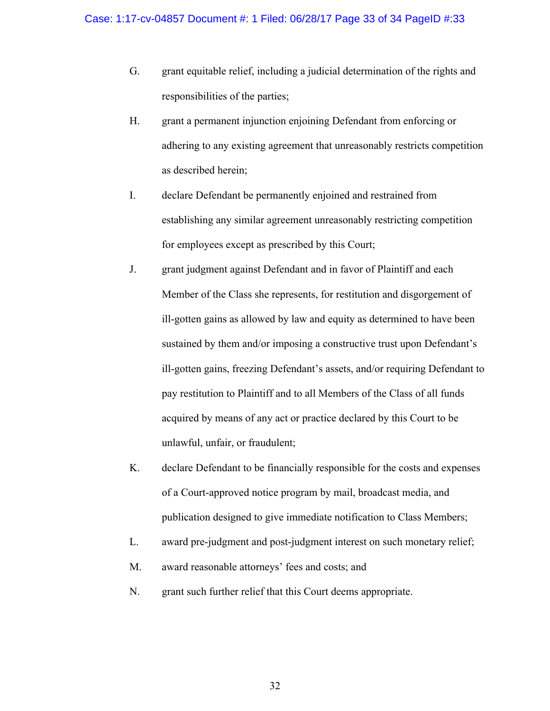- G. grant equitable relief, including a judicial determination of the rights and responsibilities of the parties;
- H. grant a permanent injunction enjoining Defendant from enforcing or adhering to any existing agreement that unreasonably restricts competition as described herein;
- I. declare Defendant be permanently enjoined and restrained from establishing any similar agreement unreasonably restricting competition for employees except as prescribed by this Court;
- J. grant judgment against Defendant and in favor of Plaintiff and each Member of the Class she represents, for restitution and disgorgement of ill-gotten gains as allowed by law and equity as determined to have been sustained by them and/or imposing a constructive trust upon Defendant's ill-gotten gains, freezing Defendant's assets, and/or requiring Defendant to pay restitution to Plaintiff and to all Members of the Class of all funds acquired by means of any act or practice declared by this Court to be unlawful, unfair, or fraudulent;
- K. declare Defendant to be financially responsible for the costs and expenses of a Court-approved notice program by mail, broadcast media, and publication designed to give immediate notification to Class Members;
- L. award pre-judgment and post-judgment interest on such monetary relief;
- M. award reasonable attorneys' fees and costs; and
- N. grant such further relief that this Court deems appropriate.